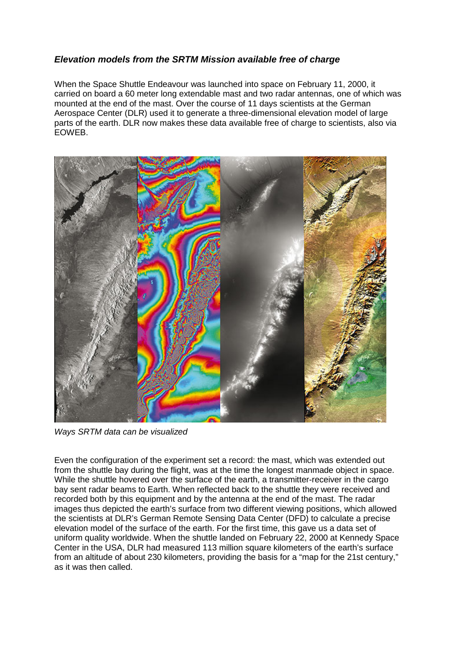## *Elevation models from the SRTM Mission available free of charge*

When the Space Shuttle Endeavour was launched into space on February 11, 2000, it carried on board a 60 meter long extendable mast and two radar antennas, one of which was mounted at the end of the mast. Over the course of 11 days scientists at the German Aerospace Center (DLR) used it to generate a three-dimensional elevation model of large parts of the earth. DLR now makes these data available free of charge to scientists, also via EOWEB.



*Ways SRTM data can be visualized* 

Even the configuration of the experiment set a record: the mast, which was extended out from the shuttle bay during the flight, was at the time the longest manmade object in space. While the shuttle hovered over the surface of the earth, a transmitter-receiver in the cargo bay sent radar beams to Earth. When reflected back to the shuttle they were received and recorded both by this equipment and by the antenna at the end of the mast. The radar images thus depicted the earth's surface from two different viewing positions, which allowed the scientists at DLR's German Remote Sensing Data Center (DFD) to calculate a precise elevation model of the surface of the earth. For the first time, this gave us a data set of uniform quality worldwide. When the shuttle landed on February 22, 2000 at Kennedy Space Center in the USA, DLR had measured 113 million square kilometers of the earth's surface from an altitude of about 230 kilometers, providing the basis for a "map for the 21st century," as it was then called.